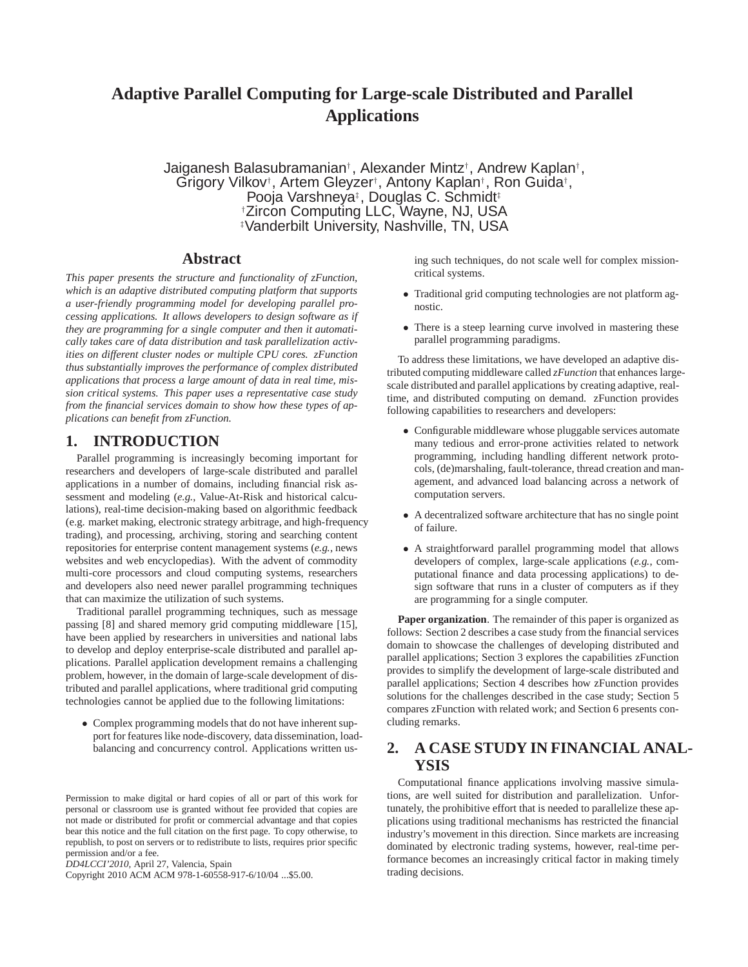# **Adaptive Parallel Computing for Large-scale Distributed and Parallel Applications**

Jaiganesh Balasubramanian<sup>†</sup>, Alexander Mintz<sup>†</sup>, Andrew Kaplan<sup>†</sup>, Grigory Vilkov<sup>†</sup>, Artem Gleyzer<sup>†</sup>, Antony Kaplan<sup>†</sup>, Ron Guida<sup>†</sup>, Pooja Varshneya<sup>‡</sup>, Douglas C. Schmidt<sup>‡</sup> †Zircon Computing LLC, Wayne, NJ, USA ‡Vanderbilt University, Nashville, TN, USA

#### **Abstract**

*This paper presents the structure and functionality of zFunction, which is an adaptive distributed computing platform that supports a user-friendly programming model for developing parallel processing applications. It allows developers to design software as if they are programming for a single computer and then it automatically takes care of data distribution and task parallelization activities on different cluster nodes or multiple CPU cores. zFunction thus substantially improves the performance of complex distributed applications that process a large amount of data in real time, mission critical systems. This paper uses a representative case study from the financial services domain to show how these types of applications can benefit from zFunction.*

#### **1. INTRODUCTION**

Parallel programming is increasingly becoming important for researchers and developers of large-scale distributed and parallel applications in a number of domains, including financial risk assessment and modeling (*e.g.*, Value-At-Risk and historical calculations), real-time decision-making based on algorithmic feedback (e.g. market making, electronic strategy arbitrage, and high-frequency trading), and processing, archiving, storing and searching content repositories for enterprise content management systems (*e.g.*, news websites and web encyclopedias). With the advent of commodity multi-core processors and cloud computing systems, researchers and developers also need newer parallel programming techniques that can maximize the utilization of such systems.

Traditional parallel programming techniques, such as message passing [8] and shared memory grid computing middleware [15], have been applied by researchers in universities and national labs to develop and deploy enterprise-scale distributed and parallel applications. Parallel application development remains a challenging problem, however, in the domain of large-scale development of distributed and parallel applications, where traditional grid computing technologies cannot be applied due to the following limitations:

• Complex programming models that do not have inherent support for features like node-discovery, data dissemination, loadbalancing and concurrency control. Applications written us-

Permission to make digital or hard copies of all or part of this work for personal or classroom use is granted without fee provided that copies are not made or distributed for profit or commercial advantage and that copies bear this notice and the full citation on the first page. To copy otherwise, to republish, to post on servers or to redistribute to lists, requires prior specific permission and/or a fee.

*DD4LCCI'2010,* April 27, Valencia, Spain

Copyright 2010 ACM ACM 978-1-60558-917-6/10/04 ...\$5.00.

ing such techniques, do not scale well for complex missioncritical systems.

- Traditional grid computing technologies are not platform agnostic.
- There is a steep learning curve involved in mastering these parallel programming paradigms.

To address these limitations, we have developed an adaptive distributed computing middleware called *zFunction* that enhances largescale distributed and parallel applications by creating adaptive, realtime, and distributed computing on demand. zFunction provides following capabilities to researchers and developers:

- Configurable middleware whose pluggable services automate many tedious and error-prone activities related to network programming, including handling different network protocols, (de)marshaling, fault-tolerance, thread creation and management, and advanced load balancing across a network of computation servers.
- A decentralized software architecture that has no single point of failure.
- A straightforward parallel programming model that allows developers of complex, large-scale applications (*e.g.*, computational finance and data processing applications) to design software that runs in a cluster of computers as if they are programming for a single computer.

**Paper organization**. The remainder of this paper is organized as follows: Section 2 describes a case study from the financial services domain to showcase the challenges of developing distributed and parallel applications; Section 3 explores the capabilities zFunction provides to simplify the development of large-scale distributed and parallel applications; Section 4 describes how zFunction provides solutions for the challenges described in the case study; Section 5 compares zFunction with related work; and Section 6 presents concluding remarks.

#### **2. A CASE STUDY IN FINANCIAL ANAL-YSIS**

Computational finance applications involving massive simulations, are well suited for distribution and parallelization. Unfortunately, the prohibitive effort that is needed to parallelize these applications using traditional mechanisms has restricted the financial industry's movement in this direction. Since markets are increasing dominated by electronic trading systems, however, real-time performance becomes an increasingly critical factor in making timely trading decisions.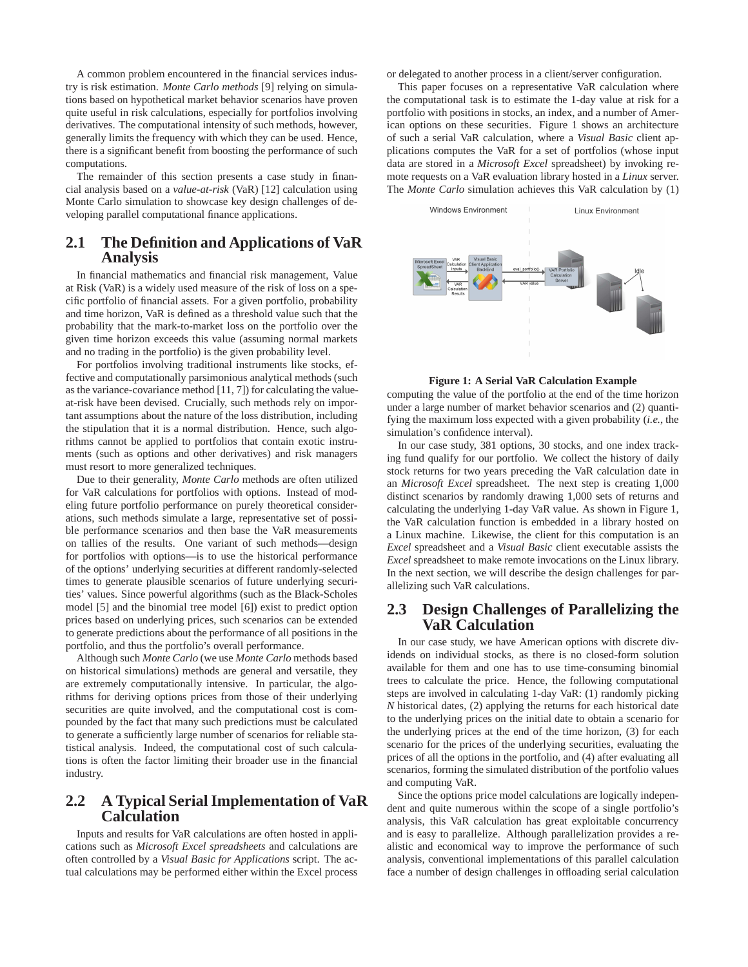A common problem encountered in the financial services industry is risk estimation. *Monte Carlo methods* [9] relying on simulations based on hypothetical market behavior scenarios have proven quite useful in risk calculations, especially for portfolios involving derivatives. The computational intensity of such methods, however, generally limits the frequency with which they can be used. Hence, there is a significant benefit from boosting the performance of such computations.

The remainder of this section presents a case study in financial analysis based on a *value-at-risk* (VaR) [12] calculation using Monte Carlo simulation to showcase key design challenges of developing parallel computational finance applications.

#### **2.1 The Definition and Applications of VaR Analysis**

In financial mathematics and financial risk management, Value at Risk (VaR) is a widely used measure of the risk of loss on a specific portfolio of financial assets. For a given portfolio, probability and time horizon, VaR is defined as a threshold value such that the probability that the mark-to-market loss on the portfolio over the given time horizon exceeds this value (assuming normal markets and no trading in the portfolio) is the given probability level.

For portfolios involving traditional instruments like stocks, effective and computationally parsimonious analytical methods (such as the variance-covariance method [11, 7]) for calculating the valueat-risk have been devised. Crucially, such methods rely on important assumptions about the nature of the loss distribution, including the stipulation that it is a normal distribution. Hence, such algorithms cannot be applied to portfolios that contain exotic instruments (such as options and other derivatives) and risk managers must resort to more generalized techniques.

Due to their generality, *Monte Carlo* methods are often utilized for VaR calculations for portfolios with options. Instead of modeling future portfolio performance on purely theoretical considerations, such methods simulate a large, representative set of possible performance scenarios and then base the VaR measurements on tallies of the results. One variant of such methods—design for portfolios with options—is to use the historical performance of the options' underlying securities at different randomly-selected times to generate plausible scenarios of future underlying securities' values. Since powerful algorithms (such as the Black-Scholes model [5] and the binomial tree model [6]) exist to predict option prices based on underlying prices, such scenarios can be extended to generate predictions about the performance of all positions in the portfolio, and thus the portfolio's overall performance.

Although such *Monte Carlo* (we use *Monte Carlo* methods based on historical simulations) methods are general and versatile, they are extremely computationally intensive. In particular, the algorithms for deriving options prices from those of their underlying securities are quite involved, and the computational cost is compounded by the fact that many such predictions must be calculated to generate a sufficiently large number of scenarios for reliable statistical analysis. Indeed, the computational cost of such calculations is often the factor limiting their broader use in the financial industry.

#### **2.2 A Typical Serial Implementation of VaR Calculation**

Inputs and results for VaR calculations are often hosted in applications such as *Microsoft Excel spreadsheets* and calculations are often controlled by a *Visual Basic for Applications* script. The actual calculations may be performed either within the Excel process

or delegated to another process in a client/server configuration.

This paper focuses on a representative VaR calculation where the computational task is to estimate the 1-day value at risk for a portfolio with positions in stocks, an index, and a number of American options on these securities. Figure 1 shows an architecture of such a serial VaR calculation, where a *Visual Basic* client applications computes the VaR for a set of portfolios (whose input data are stored in a *Microsoft Excel* spreadsheet) by invoking remote requests on a VaR evaluation library hosted in a *Linux* server. The *Monte Carlo* simulation achieves this VaR calculation by (1)



**Figure 1: A Serial VaR Calculation Example**

computing the value of the portfolio at the end of the time horizon under a large number of market behavior scenarios and (2) quantifying the maximum loss expected with a given probability (*i.e.*, the simulation's confidence interval).

In our case study, 381 options, 30 stocks, and one index tracking fund qualify for our portfolio. We collect the history of daily stock returns for two years preceding the VaR calculation date in an *Microsoft Excel* spreadsheet. The next step is creating 1,000 distinct scenarios by randomly drawing 1,000 sets of returns and calculating the underlying 1-day VaR value. As shown in Figure 1, the VaR calculation function is embedded in a library hosted on a Linux machine. Likewise, the client for this computation is an *Excel* spreadsheet and a *Visual Basic* client executable assists the *Excel* spreadsheet to make remote invocations on the Linux library. In the next section, we will describe the design challenges for parallelizing such VaR calculations.

#### **2.3 Design Challenges of Parallelizing the VaR Calculation**

In our case study, we have American options with discrete dividends on individual stocks, as there is no closed-form solution available for them and one has to use time-consuming binomial trees to calculate the price. Hence, the following computational steps are involved in calculating 1-day VaR: (1) randomly picking *N* historical dates, (2) applying the returns for each historical date to the underlying prices on the initial date to obtain a scenario for the underlying prices at the end of the time horizon, (3) for each scenario for the prices of the underlying securities, evaluating the prices of all the options in the portfolio, and (4) after evaluating all scenarios, forming the simulated distribution of the portfolio values and computing VaR.

Since the options price model calculations are logically independent and quite numerous within the scope of a single portfolio's analysis, this VaR calculation has great exploitable concurrency and is easy to parallelize. Although parallelization provides a realistic and economical way to improve the performance of such analysis, conventional implementations of this parallel calculation face a number of design challenges in offloading serial calculation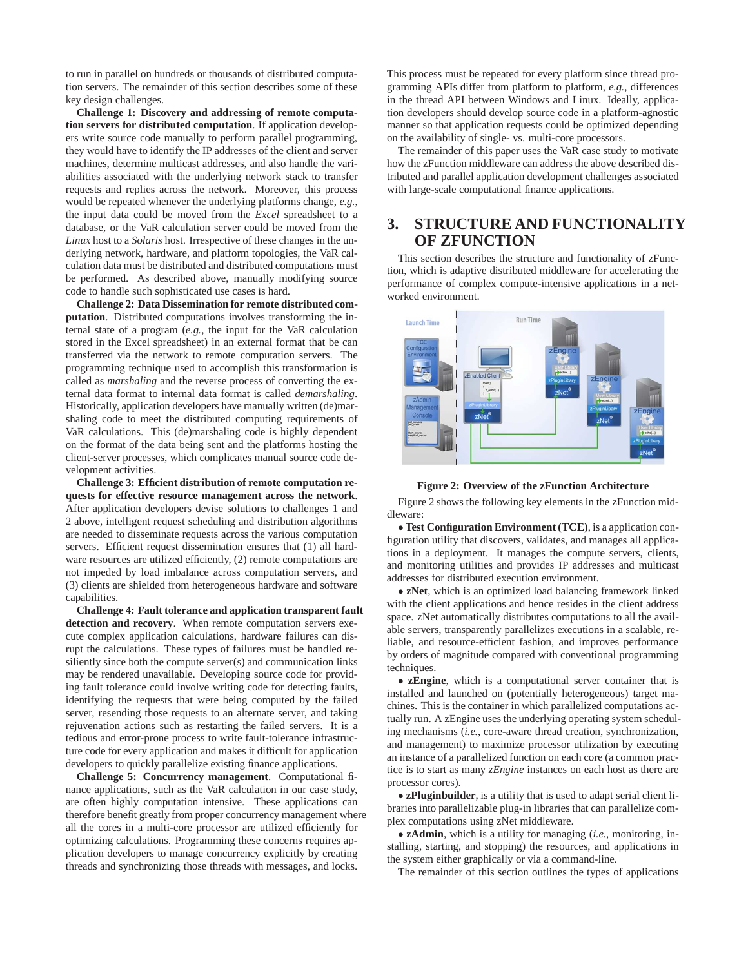to run in parallel on hundreds or thousands of distributed computation servers. The remainder of this section describes some of these key design challenges.

**Challenge 1: Discovery and addressing of remote computation servers for distributed computation**. If application developers write source code manually to perform parallel programming, they would have to identify the IP addresses of the client and server machines, determine multicast addresses, and also handle the variabilities associated with the underlying network stack to transfer requests and replies across the network. Moreover, this process would be repeated whenever the underlying platforms change, *e.g.*, the input data could be moved from the *Excel* spreadsheet to a database, or the VaR calculation server could be moved from the *Linux* host to a *Solaris* host. Irrespective of these changes in the underlying network, hardware, and platform topologies, the VaR calculation data must be distributed and distributed computations must be performed. As described above, manually modifying source code to handle such sophisticated use cases is hard.

**Challenge 2: Data Dissemination for remote distributed computation**. Distributed computations involves transforming the internal state of a program (*e.g.*, the input for the VaR calculation stored in the Excel spreadsheet) in an external format that be can transferred via the network to remote computation servers. The programming technique used to accomplish this transformation is called as *marshaling* and the reverse process of converting the external data format to internal data format is called *demarshaling*. Historically, application developers have manually written (de)marshaling code to meet the distributed computing requirements of VaR calculations. This (de)marshaling code is highly dependent on the format of the data being sent and the platforms hosting the client-server processes, which complicates manual source code development activities.

**Challenge 3: Efficient distribution of remote computation requests for effective resource management across the network**. After application developers devise solutions to challenges 1 and 2 above, intelligent request scheduling and distribution algorithms are needed to disseminate requests across the various computation servers. Efficient request dissemination ensures that (1) all hardware resources are utilized efficiently,  $(2)$  remote computations are not impeded by load imbalance across computation servers, and (3) clients are shielded from heterogeneous hardware and software capabilities.

**Challenge 4: Fault tolerance and application transparent fault detection and recovery**. When remote computation servers execute complex application calculations, hardware failures can disrupt the calculations. These types of failures must be handled resiliently since both the compute server(s) and communication links may be rendered unavailable. Developing source code for providing fault tolerance could involve writing code for detecting faults, identifying the requests that were being computed by the failed server, resending those requests to an alternate server, and taking rejuvenation actions such as restarting the failed servers. It is a tedious and error-prone process to write fault-tolerance infrastructure code for every application and makes it difficult for application developers to quickly parallelize existing finance applications.

**Challenge 5: Concurrency management**. Computational finance applications, such as the VaR calculation in our case study, are often highly computation intensive. These applications can therefore benefit greatly from proper concurrency management where all the cores in a multi-core processor are utilized efficiently for optimizing calculations. Programming these concerns requires application developers to manage concurrency explicitly by creating threads and synchronizing those threads with messages, and locks.

This process must be repeated for every platform since thread programming APIs differ from platform to platform, *e.g.*, differences in the thread API between Windows and Linux. Ideally, application developers should develop source code in a platform-agnostic manner so that application requests could be optimized depending on the availability of single- vs. multi-core processors.

The remainder of this paper uses the VaR case study to motivate how the zFunction middleware can address the above described distributed and parallel application development challenges associated with large-scale computational finance applications.

## **3. STRUCTURE AND FUNCTIONALITY OF ZFUNCTION**

This section describes the structure and functionality of zFunction, which is adaptive distributed middleware for accelerating the performance of complex compute-intensive applications in a networked environment.



**Figure 2: Overview of the zFunction Architecture**

Figure 2 shows the following key elements in the zFunction middleware:

• **Test Configuration Environment (TCE)**, is a application configuration utility that discovers, validates, and manages all applications in a deployment. It manages the compute servers, clients, and monitoring utilities and provides IP addresses and multicast addresses for distributed execution environment.

• **zNet**, which is an optimized load balancing framework linked with the client applications and hence resides in the client address space. zNet automatically distributes computations to all the available servers, transparently parallelizes executions in a scalable, reliable, and resource-efficient fashion, and improves performance by orders of magnitude compared with conventional programming techniques.

• **zEngine**, which is a computational server container that is installed and launched on (potentially heterogeneous) target machines. This is the container in which parallelized computations actually run. A zEngine uses the underlying operating system scheduling mechanisms (*i.e.*, core-aware thread creation, synchronization, and management) to maximize processor utilization by executing an instance of a parallelized function on each core (a common practice is to start as many *zEngine* instances on each host as there are processor cores).

• **zPluginbuilder**, is a utility that is used to adapt serial client libraries into parallelizable plug-in libraries that can parallelize complex computations using zNet middleware.

• **zAdmin**, which is a utility for managing (*i.e.*, monitoring, installing, starting, and stopping) the resources, and applications in the system either graphically or via a command-line.

The remainder of this section outlines the types of applications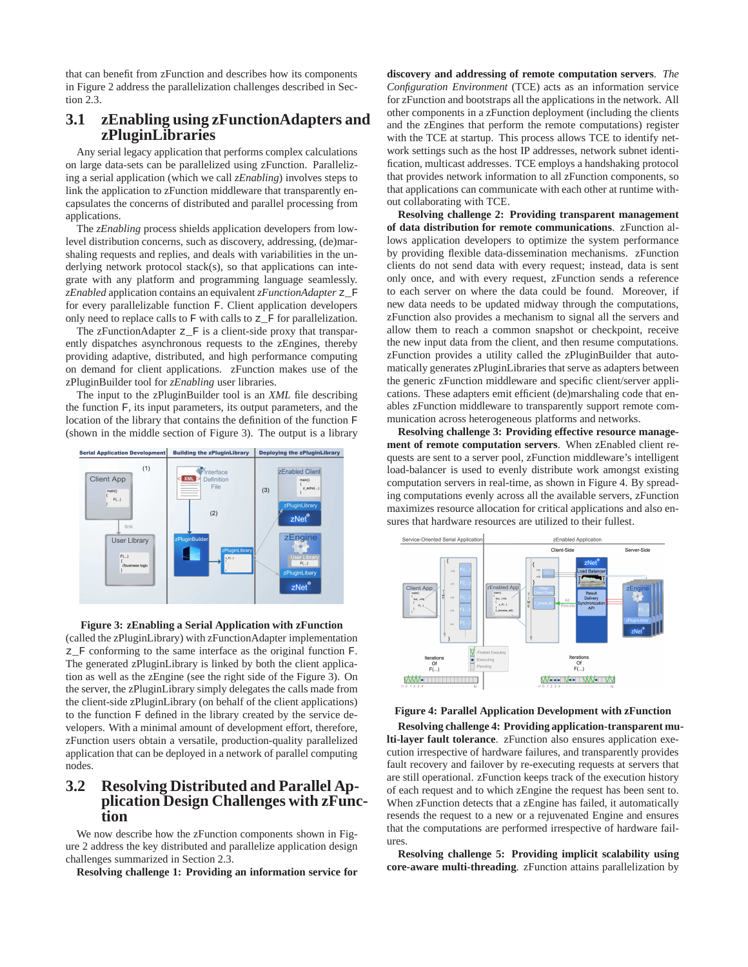that can benefit from zFunction and describes how its components in Figure 2 address the parallelization challenges described in Section 2.3.

#### **3.1 zEnabling using zFunctionAdapters and zPluginLibraries**

Any serial legacy application that performs complex calculations on large data-sets can be parallelized using zFunction. Parallelizing a serial application (which we call *zEnabling*) involves steps to link the application to zFunction middleware that transparently encapsulates the concerns of distributed and parallel processing from applications.

The *zEnabling* process shields application developers from lowlevel distribution concerns, such as discovery, addressing, (de)marshaling requests and replies, and deals with variabilities in the underlying network protocol stack(s), so that applications can integrate with any platform and programming language seamlessly. *zEnabled* application contains an equivalent *zFunctionAdapter* z\_F for every parallelizable function F. Client application developers only need to replace calls to  $F$  with calls to  $Z_F$  for parallelization.

The zFunctionAdapter  $z_F$  is a client-side proxy that transparently dispatches asynchronous requests to the zEngines, thereby providing adaptive, distributed, and high performance computing on demand for client applications. zFunction makes use of the zPluginBuilder tool for *zEnabling* user libraries.

The input to the zPluginBuilder tool is an *XML* file describing the function F, its input parameters, its output parameters, and the location of the library that contains the definition of the function F (shown in the middle section of Figure 3). The output is a library



**Figure 3: zEnabling a Serial Application with zFunction** (called the zPluginLibrary) with zFunctionAdapter implementation z\_F conforming to the same interface as the original function F. The generated zPluginLibrary is linked by both the client application as well as the zEngine (see the right side of the Figure 3). On the server, the zPluginLibrary simply delegates the calls made from the client-side zPluginLibrary (on behalf of the client applications) to the function F defined in the library created by the service developers. With a minimal amount of development effort, therefore, zFunction users obtain a versatile, production-quality parallelized application that can be deployed in a network of parallel computing nodes.

#### **3.2 Resolving Distributed and Parallel Application Design Challenges with zFunction**

We now describe how the zFunction components shown in Figure 2 address the key distributed and parallelize application design challenges summarized in Section 2.3.

**Resolving challenge 1: Providing an information service for**

**discovery and addressing of remote computation servers**. *The Configuration Environment* (TCE) acts as an information service for zFunction and bootstraps all the applications in the network. All other components in a zFunction deployment (including the clients and the zEngines that perform the remote computations) register with the TCE at startup. This process allows TCE to identify network settings such as the host IP addresses, network subnet identification, multicast addresses. TCE employs a handshaking protocol that provides network information to all zFunction components, so that applications can communicate with each other at runtime without collaborating with TCE.

**Resolving challenge 2: Providing transparent management of data distribution for remote communications**. zFunction allows application developers to optimize the system performance by providing flexible data-dissemination mechanisms. zFunction clients do not send data with every request; instead, data is sent only once, and with every request, zFunction sends a reference to each server on where the data could be found. Moreover, if new data needs to be updated midway through the computations, zFunction also provides a mechanism to signal all the servers and allow them to reach a common snapshot or checkpoint, receive the new input data from the client, and then resume computations. zFunction provides a utility called the zPluginBuilder that automatically generates zPluginLibraries that serve as adapters between the generic zFunction middleware and specific client/server applications. These adapters emit efficient (de)marshaling code that enables zFunction middleware to transparently support remote communication across heterogeneous platforms and networks.

**Resolving challenge 3: Providing effective resource management of remote computation servers**. When zEnabled client requests are sent to a server pool, zFunction middleware's intelligent load-balancer is used to evenly distribute work amongst existing computation servers in real-time, as shown in Figure 4. By spreading computations evenly across all the available servers, zFunction maximizes resource allocation for critical applications and also ensures that hardware resources are utilized to their fullest.



#### **Figure 4: Parallel Application Development with zFunction**

**Resolving challenge 4: Providing application-transparent multi-layer fault tolerance**. zFunction also ensures application execution irrespective of hardware failures, and transparently provides fault recovery and failover by re-executing requests at servers that are still operational. zFunction keeps track of the execution history of each request and to which zEngine the request has been sent to. When zFunction detects that a zEngine has failed, it automatically resends the request to a new or a rejuvenated Engine and ensures that the computations are performed irrespective of hardware failures.

**Resolving challenge 5: Providing implicit scalability using core-aware multi-threading**. zFunction attains parallelization by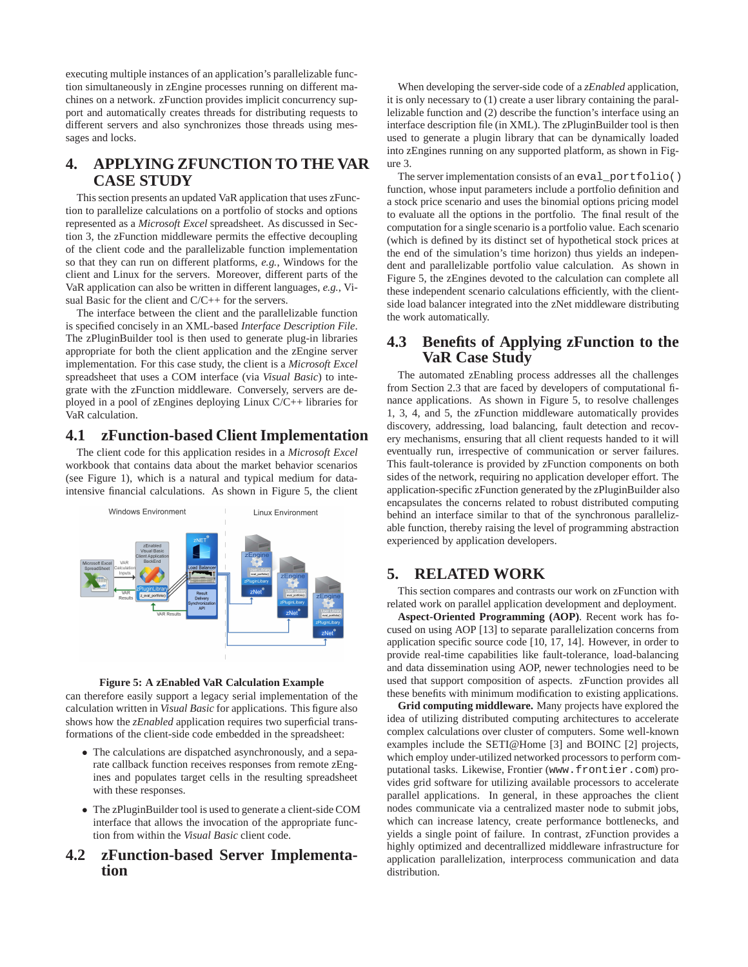executing multiple instances of an application's parallelizable function simultaneously in zEngine processes running on different machines on a network. zFunction provides implicit concurrency support and automatically creates threads for distributing requests to different servers and also synchronizes those threads using messages and locks.

# **4. APPLYING ZFUNCTION TO THE VAR CASE STUDY**

This section presents an updated VaR application that uses zFunction to parallelize calculations on a portfolio of stocks and options represented as a *Microsoft Excel* spreadsheet. As discussed in Section 3, the zFunction middleware permits the effective decoupling of the client code and the parallelizable function implementation so that they can run on different platforms, *e.g.*, Windows for the client and Linux for the servers. Moreover, different parts of the VaR application can also be written in different languages, *e.g.*, Visual Basic for the client and C/C++ for the servers.

The interface between the client and the parallelizable function is specified concisely in an XML-based *Interface Description File*. The zPluginBuilder tool is then used to generate plug-in libraries appropriate for both the client application and the zEngine server implementation. For this case study, the client is a *Microsoft Excel* spreadsheet that uses a COM interface (via *Visual Basic*) to integrate with the zFunction middleware. Conversely, servers are deployed in a pool of zEngines deploying Linux C/C++ libraries for VaR calculation.

#### **4.1 zFunction-based Client Implementation**

The client code for this application resides in a *Microsoft Excel* workbook that contains data about the market behavior scenarios (see Figure 1), which is a natural and typical medium for dataintensive financial calculations. As shown in Figure 5, the client





can therefore easily support a legacy serial implementation of the calculation written in *Visual Basic* for applications. This figure also shows how the *zEnabled* application requires two superficial transformations of the client-side code embedded in the spreadsheet:

- The calculations are dispatched asynchronously, and a separate callback function receives responses from remote zEngines and populates target cells in the resulting spreadsheet with these responses.
- The zPluginBuilder tool is used to generate a client-side COM interface that allows the invocation of the appropriate function from within the *Visual Basic* client code.
- **4.2 zFunction-based Server Implementation**

When developing the server-side code of a *zEnabled* application, it is only necessary to (1) create a user library containing the parallelizable function and (2) describe the function's interface using an interface description file (in XML). The zPluginBuilder tool is then used to generate a plugin library that can be dynamically loaded into zEngines running on any supported platform, as shown in Figure 3.

The server implementation consists of an eval\_portfolio() function, whose input parameters include a portfolio definition and a stock price scenario and uses the binomial options pricing model to evaluate all the options in the portfolio. The final result of the computation for a single scenario is a portfolio value. Each scenario (which is defined by its distinct set of hypothetical stock prices at the end of the simulation's time horizon) thus yields an independent and parallelizable portfolio value calculation. As shown in Figure 5, the zEngines devoted to the calculation can complete all these independent scenario calculations efficiently, with the clientside load balancer integrated into the zNet middleware distributing the work automatically.

#### **4.3 Benefits of Applying zFunction to the VaR Case Study**

The automated zEnabling process addresses all the challenges from Section 2.3 that are faced by developers of computational finance applications. As shown in Figure 5, to resolve challenges 1, 3, 4, and 5, the zFunction middleware automatically provides discovery, addressing, load balancing, fault detection and recovery mechanisms, ensuring that all client requests handed to it will eventually run, irrespective of communication or server failures. This fault-tolerance is provided by zFunction components on both sides of the network, requiring no application developer effort. The application-specific zFunction generated by the zPluginBuilder also encapsulates the concerns related to robust distributed computing behind an interface similar to that of the synchronous parallelizable function, thereby raising the level of programming abstraction experienced by application developers.

#### **5. RELATED WORK**

This section compares and contrasts our work on zFunction with related work on parallel application development and deployment.

**Aspect-Oriented Programming (AOP)**. Recent work has focused on using AOP [13] to separate parallelization concerns from application specific source code [10, 17, 14]. However, in order to provide real-time capabilities like fault-tolerance, load-balancing and data dissemination using AOP, newer technologies need to be used that support composition of aspects. zFunction provides all these benefits with minimum modification to existing applications.

**Grid computing middleware.** Many projects have explored the idea of utilizing distributed computing architectures to accelerate complex calculations over cluster of computers. Some well-known examples include the SETI@Home [3] and BOINC [2] projects, which employ under-utilized networked processors to perform computational tasks. Likewise, Frontier (www.frontier.com) provides grid software for utilizing available processors to accelerate parallel applications. In general, in these approaches the client nodes communicate via a centralized master node to submit jobs, which can increase latency, create performance bottlenecks, and yields a single point of failure. In contrast, zFunction provides a highly optimized and decentrallized middleware infrastructure for application parallelization, interprocess communication and data distribution.